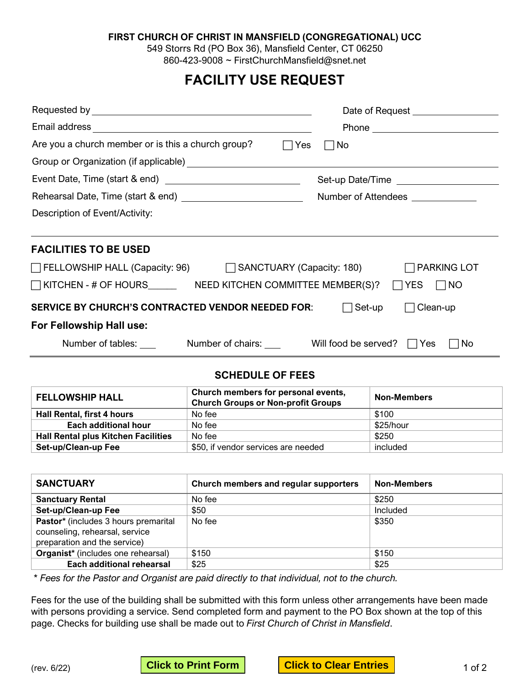#### **FIRST CHURCH OF CHRIST IN MANSFIELD (CONGREGATIONAL) UCC**

549 Storrs Rd (PO Box 36), Mansfield Center, CT 06250 860-423-9008 ~ FirstChurchMansfield@snet.net

# **FACILITY USE REQUEST**

|                                                                                    | Date of Request <b>Exercise 2018</b> |  |  |
|------------------------------------------------------------------------------------|--------------------------------------|--|--|
|                                                                                    |                                      |  |  |
| Are you a church member or is this a church group?<br>$\Box$ Yes                   | No.                                  |  |  |
|                                                                                    |                                      |  |  |
|                                                                                    |                                      |  |  |
|                                                                                    | Number of Attendees _____________    |  |  |
| Description of Event/Activity:                                                     |                                      |  |  |
|                                                                                    |                                      |  |  |
| <b>FACILITIES TO BE USED</b>                                                       |                                      |  |  |
| □ FELLOWSHIP HALL (Capacity: 96) □ SANCTUARY (Capacity: 180) □ PARKING LOT         |                                      |  |  |
| $\Box$ KITCHEN - # OF HOURS NEED KITCHEN COMMITTEE MEMBER(S)? $\Box$ YES $\Box$ NO |                                      |  |  |
| <b>SERVICE BY CHURCH'S CONTRACTED VENDOR NEEDED FOR:</b><br>□ Set-up<br>Clean-up   |                                      |  |  |
| For Fellowship Hall use:                                                           |                                      |  |  |
|                                                                                    | <b>No</b>                            |  |  |

### **SCHEDULE OF FEES**

| <b>FELLOWSHIP HALL</b>                     | Church members for personal events,<br><b>Church Groups or Non-profit Groups</b> | <b>Non-Members</b> |
|--------------------------------------------|----------------------------------------------------------------------------------|--------------------|
| Hall Rental, first 4 hours                 | No fee                                                                           | \$100              |
| Each additional hour                       | No fee                                                                           | \$25/hour          |
| <b>Hall Rental plus Kitchen Facilities</b> | No fee                                                                           | \$250              |
| Set-up/Clean-up Fee                        | \$50, if vendor services are needed                                              | included           |

| <b>SANCTUARY</b>                     | Church members and regular supporters | <b>Non-Members</b> |
|--------------------------------------|---------------------------------------|--------------------|
| <b>Sanctuary Rental</b>              | No fee                                | \$250              |
| Set-up/Clean-up Fee                  | \$50                                  | Included           |
| Pastor* (includes 3 hours premarital | No fee                                | \$350              |
| counseling, rehearsal, service       |                                       |                    |
| preparation and the service)         |                                       |                    |
| Organist* (includes one rehearsal)   | \$150                                 | \$150              |
| <b>Each additional rehearsal</b>     | \$25                                  | \$25               |

*\* Fees for the Pastor and Organist are paid directly to that individual, not to the church.*

Fees for the use of the building shall be submitted with this form unless other arrangements have been made with persons providing a service. Send completed form and payment to the PO Box shown at the top of this page. Checks for building use shall be made out to *First Church of Christ in Mansfield*.

(rev. 6/22) <mark>Click to Print Form Click to Clear Entries </mark> 1 of 2